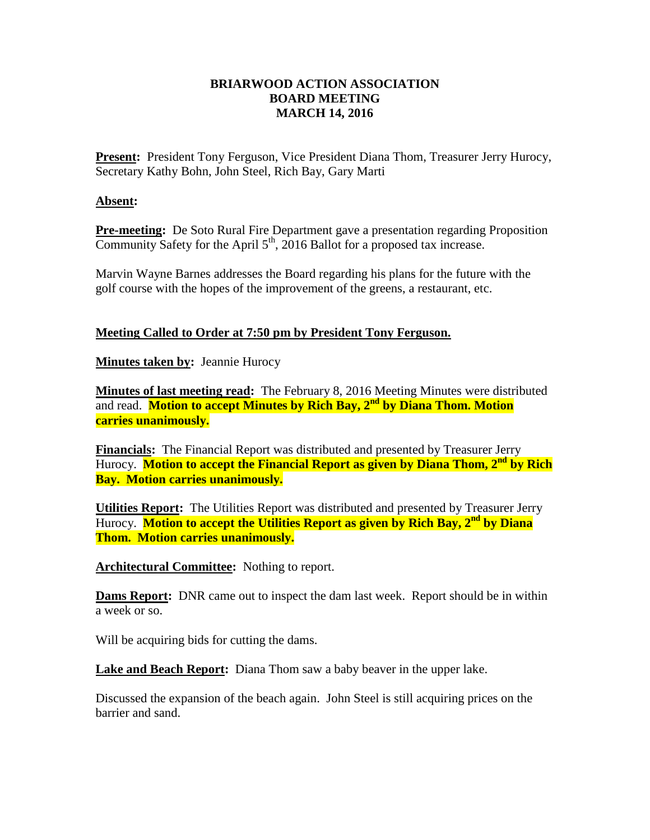## **BRIARWOOD ACTION ASSOCIATION BOARD MEETING MARCH 14, 2016**

Present: President Tony Ferguson, Vice President Diana Thom, Treasurer Jerry Hurocy, Secretary Kathy Bohn, John Steel, Rich Bay, Gary Marti

## **Absent:**

**Pre-meeting:** De Soto Rural Fire Department gave a presentation regarding Proposition Community Safety for the April  $5<sup>th</sup>$ , 2016 Ballot for a proposed tax increase.

Marvin Wayne Barnes addresses the Board regarding his plans for the future with the golf course with the hopes of the improvement of the greens, a restaurant, etc.

## **Meeting Called to Order at 7:50 pm by President Tony Ferguson.**

**Minutes taken by: Jeannie Hurocy** 

**Minutes of last meeting read:** The February 8, 2016 Meeting Minutes were distributed and read. **Motion to accept Minutes by Rich Bay, 2nd by Diana Thom. Motion carries unanimously.**

**Financials:** The Financial Report was distributed and presented by Treasurer Jerry Hurocy. **Motion to accept the Financial Report as given by Diana Thom, 2nd by Rich Bay. Motion carries unanimously.**

**Utilities Report:** The Utilities Report was distributed and presented by Treasurer Jerry Hurocy. **Motion to accept the Utilities Report as given by Rich Bay, 2nd by Diana Thom. Motion carries unanimously.**

**Architectural Committee:** Nothing to report.

**Dams Report:** DNR came out to inspect the dam last week. Report should be in within a week or so.

Will be acquiring bids for cutting the dams.

**Lake and Beach Report:** Diana Thom saw a baby beaver in the upper lake.

Discussed the expansion of the beach again. John Steel is still acquiring prices on the barrier and sand.